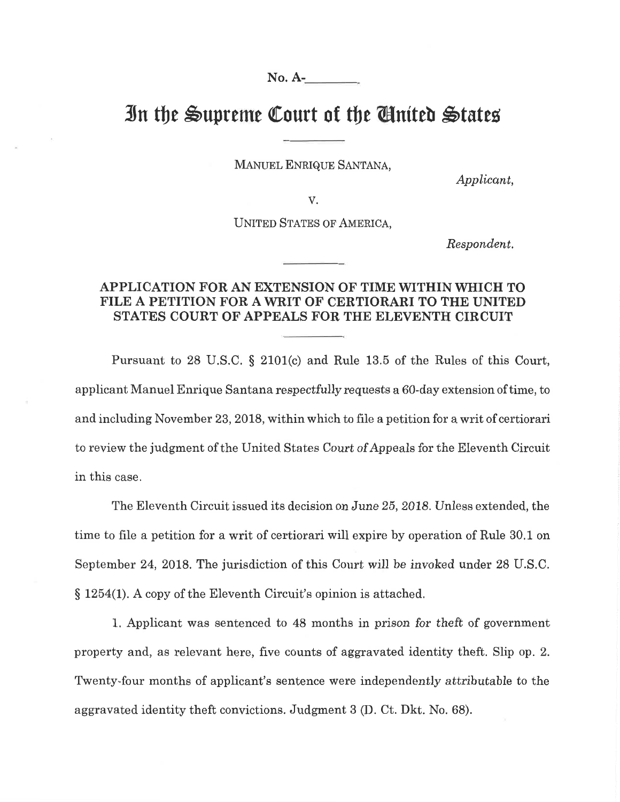**No. A-**No. A-

## In the Supreme Court of the **C**inited States

MANUEL ENRIQUE SANTANA,

*Applicant,*  þplicønt,

V. V.

UNITED STATES OF AMERICA,

*Respondent.*  Respondent.

## **APPLICATION FOR AN EXTENSION OF TIME WITHIN WHICH TO**  APPLICATION FOR AN EXTENSION OF TIME WITHIN \ryHICH TO **FILE A PETITION FOR A WRIT OF CERTIORARI TO THE UNITED**  FILE A PETITION FOR A WRIT OF CERTIORARI TO THE UNITED **STATES COURT OF APPEALS FOR THE ELEVENTH CIRCUIT**  STATES COURT OF APPEALS FOR THE ELEVENTH CIRCUIT

Pursuant to 28 U.S.C. § 2101(c) and Rule 13.5 of the Rules of this Court, applicant Manuel Enrique Santana respectfully requests a 60-day extension of time, to applicant Manuel Enrique Santana respectfully requests a 60-day extension of time, to and including November 23, 2018, within which to file a petition for a writ of certiorari to review the judgment of the United States Court of Appeals for the Eleventh Circuit to review the judgment of the United States Court of Appeals for the Eleventh Circuit in this case. in this case.

The Eleventh Circuit issued its decision on June 25, 2018. Unless extended, the time to file a petition for a writ of certiorari will expire by operation of Rule 30.1 on time to file a petition for a writ of certiorari will expire by operation of Rule 30.1 on September 24, 2018. The jurisdiction of this Court will be invoked under 28 U.S.C. § 1254(1). A copy of the Eleventh Circuit's opinion is attached. <sup>S</sup>1254(1). A copy of the Eleventh Circuit's opinion is attached.

1. Applicant was sentenced to 48 months in prison for theft of government L. Applicant was sentenced to 48 months in prison for theft of government property and, as relevant here, five counts of aggravated identity theft. Slip op. 2. property and, as relevant here, five counts of aggravated identity theft. Slip op. 2. Twenty-four months of applicant's sentence were independently attributable to the aggravated identity theft convictions. Judgment 3 **(D.** Ct. Dkt. No. 68). aggravated identity theft convictions. Judgment 3 (D. Ct. Dkt. No. 68).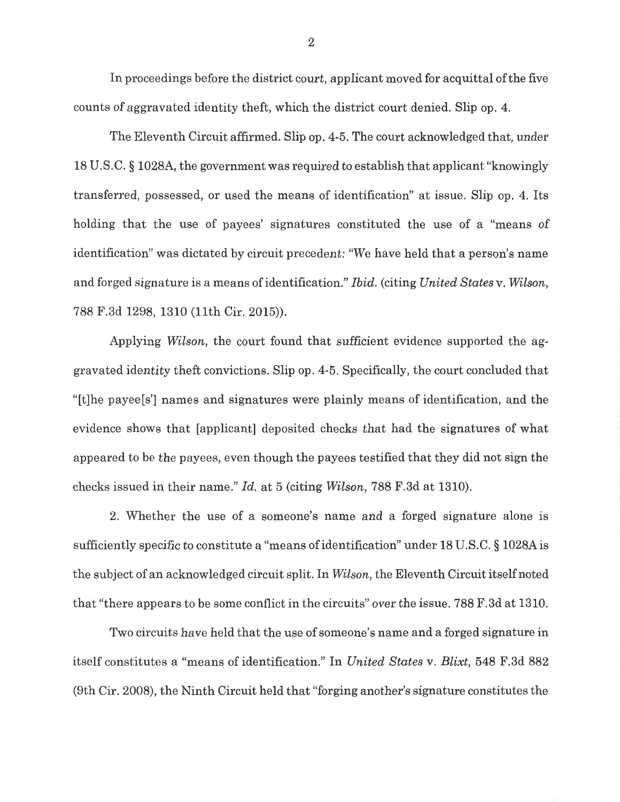In proceedings before the district court, applicant moved for acquittal of the five counts of aggravated identity theft, which the district court denied. Slip op. 4. counts of aggravated identity theft, which the district court denied. Slip op. 4.

The Eleventh Circuit affirmed. Slip op. 4-5. The court acknowledged that, under The Eleventh Circuit affirmed. Slip op. 4-5. The court acknowledged that, under 18 U.S.C. § 1028A, the government was required to establish that applicant "knowingly <sup>13</sup>U.S.C. S 10284, the government was required to establish that applicant "knowingly transferred, possessed, or used the means of identification" at issue. Slip op. 4. Its transferred, possessed, or used the means of identification" at issue. Slip op. 4. Its holding that the use of payees' signatures constituted the use of a "means of holding that the use of payees' signatures constituted the use of a "means of identification" was dictated by circuit precedent: "We have held that a person's name identification" was dictated by circuit precedent: "We have held that a person's name and forged signature is a means of identification." *Ibid.* (citing *United States* v. Wilson, 788 F.3d 1298, 1310 (11th Cir. 2015)). <sup>788</sup>F.3d 1298,1310 (11th Cir. 2015)).

Applying Wilson, the court found that sufficient evidence supported the aggravated identity theft convictions. Slip op. 4-5. Specifically, the court concluded that gravated identity theft convictions. Slip op. 4-5. Specifically, the court concluded that "[t]he payee [s'] names and signatures were plainly means of identification, and the "[t]he payee[s'] names and signatures \ilere plainly means of identification, and the evidence shows that [applicant] deposited checks that had the signatures of what appeared to be the payees, even though the payees testified that they did not sign the checks issued in their name." *Id.* at 5 (citing *Wilson,* 788 F.3d at 1310). checks issued in their name." Id. at 5 (citing Wilson,788 F.3d at 1310).

2. Whether the use of a someone's name and a forged signature alone is 2. Whether the use of a someone's name and a forged signature alone is sufficiently specific to constitute a "means of identification" under 18 U.S.C. § 1028A is sufficiently specific to constitute a "means of identification" under 18 U.S.C. \$ 1028Ais the subject of an acknowledged circuit split. In *Wilson*, the Eleventh Circuit itself noted that "there appears to be some conflict in the circuits" over the issue. 788 F.3d at 1310.

Two circuits have held that the use of someone's name and a forged signature in Two circuits have held that the use of someone's name and a forged signature in itself constitutes a "means of identification." In *United States v. Blixt*, 548 F.3d 882 (9th Cir. 2008), the Ninth Circuit held that "forging another's signature constitutes the (9th Cir. 2008), the Ninth Circuit held that "forging another's signature constitutes the

2 2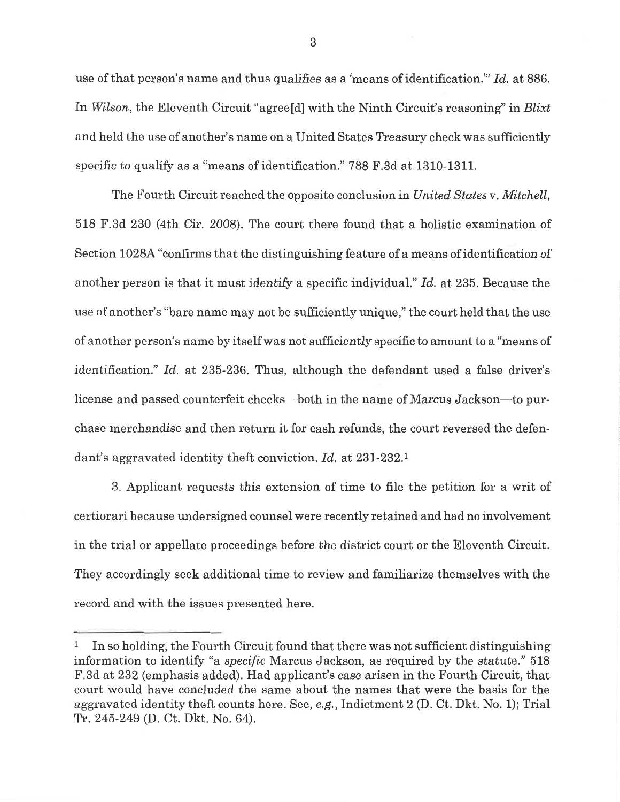use of that person's name and thus qualifies as a 'means of identification."' *Id.* at 886. use of that person's name and thus qualifies as a 'means of identification."' Id, at 886. In *Wilson,* the Eleventh Circuit "agree[d] with the Ninth Circuit's reasoning" in *Blixt*  In Wilson, the Eleventh Circuit "agree[d] with the Ninth Circuit's reasoning" ín Blixt and held the use of another's name on a United States Treasury check was sufficiently and held the use of another's name on a United States Treasury check was sufficiently specific to qualify as a "means of identification." 788 F.3d at 1310-1311.

The Fourth Circuit reached the opposite conclusion in *United States v. Mitchell*, 518 F.3d 230 (4th Cir. 2008). The court there found that a holistic examination of 518 F.3d 230 (4th Cir. 2008). The court there found that a holistic examination of Section 1028A "confirms that the distinguishing feature of a means of identification of Section 1028A "confirms that the distinguishing feature of a means of identification of another person is that it must identify a specific individual." *Id.* at 235. Because the another person is that it must identify a specific individuaL" Id, at 235. Because the use of another's "bare name may not be sufficiently unique," the court held that the use use of another's "bare name may not be sufficiently unique," the court held that the use of another person's name by itself was not sufficiently specific to amount to a "means of of another person's name by itself was not sufficiently specific to amount to a "means of identification." *Id.* at 235-236. Thus, although the defendant used a false driver's identification." Id.. at 236-236. Thus, although the defendant used a false driver's license and passed counterfeit checks—both in the name of Marcus Jackson—to pur-license and passed. counterfeit checks-both in the name of Marcus Jackson-to purchase merchandise and then return it for cash refunds, the court reversed the defendant's aggravated identity theft conviction. *Id.* at 231-232.<sup>1</sup>

3. Applicant requests this extension of time to file the petition for a writ of 3, Applicant requests this extension of time to file the petition for a writ of certiorari because undersigned counsel were recently retained and had no involvement in the trial or appellate proceedings before the district court or the Eleventh Circuit. in the trial or appellate proceedings before the district court or the Eleventh Circuit. They accordingly seek additional time to review and familiarize themselves with the They accordingly seek additional time to review and familíaríze themselves with the record and with the issues presented here.

<sup>&</sup>lt;sup>1</sup> In so holding, the Fourth Circuit found that there was not sufficient distinguishing information to identify "a *specific* Marcus Jackson, as required by the statute." 518 F.3d at 232 (emphasis added). Had applicant's case arisen in the Fourth Circuit, that F.Bd at 232 (emphasis added). Had applicant's case arisen in the Fourth Circuit, that court would have concluded the same about the names that were the basis for the court would, have concluded the same about the names that were the basis for the aggravated identity theft counts here. See, e.g., Indictment 2 (D. Ct. Dkt. No. 1); Trial Tr. 245-249 (D. Ct. Dkt. No. 64). Tr.246-249 (D. Ct. Dkt. No. 64).